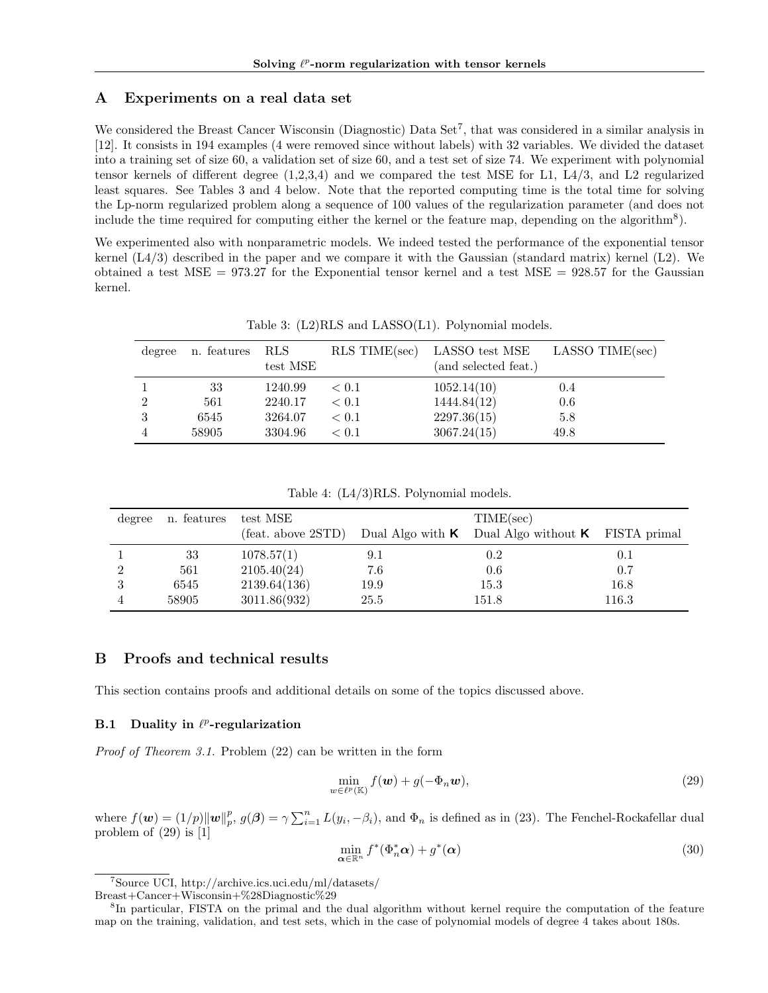# A Experiments on a real data set

We considered the Breast Cancer Wisconsin (Diagnostic) Data Set<sup>7</sup>, that was considered in a similar analysis in [12]. It consists in 194 examples (4 were removed since without labels) with 32 variables. We divided the dataset into a training set of size 60, a validation set of size 60, and a test set of size 74. We experiment with polynomial tensor kernels of different degree  $(1,2,3,4)$  and we compared the test MSE for L1, L4/3, and L2 regularized least squares. See Tables 3 and 4 below. Note that the reported computing time is the total time for solving the Lp-norm regularized problem along a sequence of 100 values of the regularization parameter (and does not include the time required for computing either the kernel or the feature map, depending on the algorithm<sup>8</sup>).

We experimented also with nonparametric models. We indeed tested the performance of the exponential tensor kernel  $(L4/3)$  described in the paper and we compare it with the Gaussian (standard matrix) kernel (L2). We obtained a test MSE =  $973.27$  for the Exponential tensor kernel and a test MSE =  $928.57$  for the Gaussian kernel.

| degree | n. features | RLS.<br>test MSE | $RLS$ TIME $(sec)$ | LASSO test MSE<br>(and selected feat.) | LASSO TIME(sec) |
|--------|-------------|------------------|--------------------|----------------------------------------|-----------------|
|        | 33          | 1240.99          | < 0.1              | 1052.14(10)                            | 0.4             |
| 2      | 561         | 2240.17          | < 0.1              | 1444.84(12)                            | 0.6             |
| 3      | 6545        | 3264.07          | < 0.1              | 2297.36(15)                            | 5.8             |
|        | 58905       | 3304.96          | < 0.1              | 3067.24(15)                            | 49.8            |

Table 3: (L2)RLS and LASSO(L1). Polynomial models.

|  |  |  |  | Table 4: $(L4/3)RLS$ . Polynomial models. |  |
|--|--|--|--|-------------------------------------------|--|
|--|--|--|--|-------------------------------------------|--|

| degree | n. features | test MSE                     |      | TIME(sec)                                                       |       |  |
|--------|-------------|------------------------------|------|-----------------------------------------------------------------|-------|--|
|        |             | $(\text{feat. above } 2STD)$ |      | Dual Algo with $\kappa$ Dual Algo without $\kappa$ FISTA primal |       |  |
|        | 33          | 1078.57(1)                   | 9.1  | $0.2\,$                                                         | 0.1   |  |
|        | 561         | 2105.40(24)                  | 7.6  | $0.6\,$                                                         | 0.7   |  |
| 3      | 6545        | 2139.64(136)                 | 19.9 | 15.3                                                            | 16.8  |  |
|        | 58905       | 3011.86(932)                 | 25.5 | 151.8                                                           | 116.3 |  |

## B Proofs and technical results

This section contains proofs and additional details on some of the topics discussed above.

#### **B.1** Duality in  $\ell^p$ -regularization

*Proof of Theorem 3.1.* Problem (22) can be written in the form

$$
\min_{w \in \ell^p(\mathbb{K})} f(\boldsymbol{w}) + g(-\Phi_n \boldsymbol{w}),\tag{29}
$$

where  $f(\boldsymbol{w}) = (1/p) ||\boldsymbol{w}||_p^p$ ,  $g(\boldsymbol{\beta}) = \gamma \sum_{i=1}^n L(y_i, -\beta_i)$ , and  $\Phi_n$  is defined as in (23). The Fenchel-Rockafellar dual problem of (29) is [1]

$$
\min_{\alpha \in \mathbb{R}^n} f^*(\Phi_n^* \alpha) + g^*(\alpha) \tag{30}
$$

<sup>7</sup>Source UCI, http://archive.ics.uci.edu/ml/datasets/

Breast+Cancer+Wisconsin+%28Diagnostic%29

<sup>8</sup>In particular, FISTA on the primal and the dual algorithm without kernel require the computation of the feature map on the training, validation, and test sets, which in the case of polynomial models of degree 4 takes about 180s.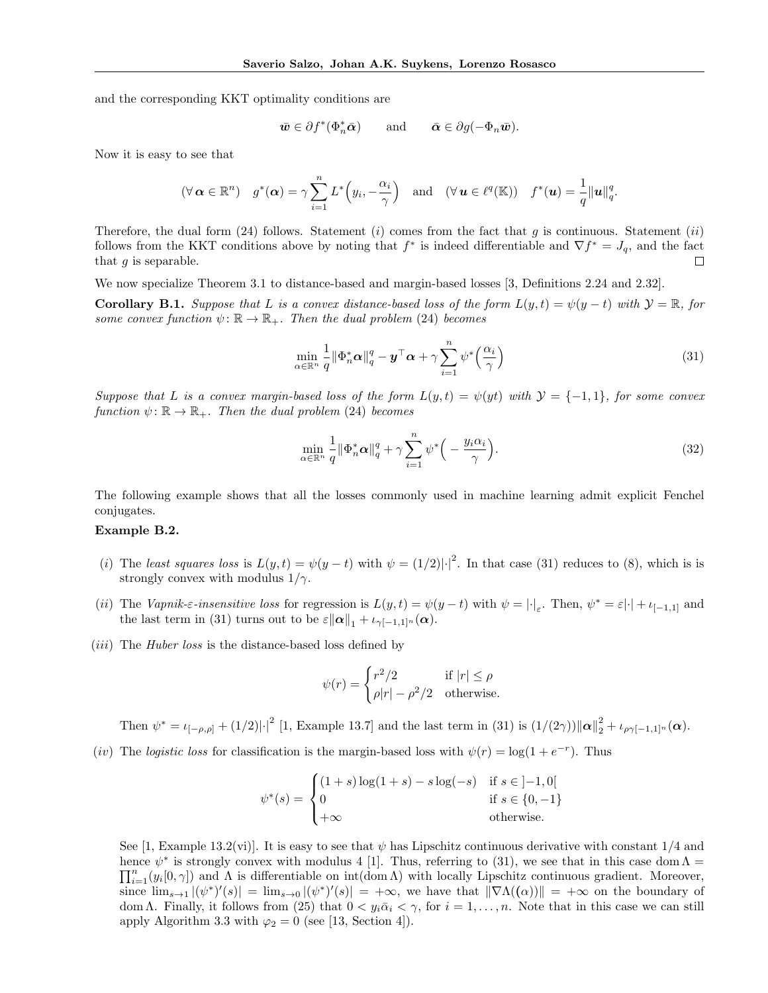and the corresponding KKT optimality conditions are

$$
\bar{\boldsymbol{w}} \in \partial f^*(\Phi_n^* \bar{\boldsymbol{\alpha}})
$$
 and  $\bar{\boldsymbol{\alpha}} \in \partial g(-\Phi_n \bar{\boldsymbol{w}}).$ 

Now it is easy to see that

$$
(\forall \alpha \in \mathbb{R}^n) \quad g^*(\alpha) = \gamma \sum_{i=1}^n L^*\left(y_i, -\frac{\alpha_i}{\gamma}\right) \quad \text{and} \quad (\forall \mathbf{u} \in \ell^q(\mathbb{K})) \quad f^*(\mathbf{u}) = \frac{1}{q} \|\mathbf{u}\|_q^q.
$$

Therefore, the dual form (24) follows. Statement (*i*) comes from the fact that *g* is continuous. Statement (*ii*) follows from the KKT conditions above by noting that  $f^*$  is indeed differentiable and  $\nabla f^* = J_q$ , and the fact that *q* is separable. that *g* is separable.

We now specialize Theorem 3.1 to distance-based and margin-based losses [3, Definitions 2.24 and 2.32].

**Corollary B.1.** Suppose that L is a convex distance-based loss of the form  $L(y,t) = \psi(y-t)$  with  $\mathcal{Y} = \mathbb{R}$ , for *some convex function*  $\psi \colon \mathbb{R} \to \mathbb{R}_+$ *. Then the dual problem* (24) *becomes* 

$$
\min_{\alpha \in \mathbb{R}^n} \frac{1}{q} \|\Phi_n^* \alpha\|_q^q - \mathbf{y}^\top \alpha + \gamma \sum_{i=1}^n \psi^* \left(\frac{\alpha_i}{\gamma}\right) \tag{31}
$$

*Suppose that L is a convex margin-based loss of the form*  $L(y,t) = \psi(yt)$  with  $\mathcal{Y} = \{-1,1\}$ *, for some convex function*  $\psi : \mathbb{R} \to \mathbb{R}_+$ *. Then the dual problem* (24) *becomes* 

$$
\min_{\alpha \in \mathbb{R}^n} \frac{1}{q} \|\Phi_n^* \alpha\|_q^q + \gamma \sum_{i=1}^n \psi^* \Big( - \frac{y_i \alpha_i}{\gamma} \Big). \tag{32}
$$

The following example shows that all the losses commonly used in machine learning admit explicit Fenchel conjugates.

## Example B.2.

- (*i*) The *least squares loss* is  $L(y,t) = \psi(y-t)$  with  $\psi = (1/2)|\cdot|^2$ . In that case (31) reduces to (8), which is is strongly convex with modulus  $1/\gamma$ .
- (*ii*) The *Vapnik-* $\varepsilon$ *-insensitive loss* for regression is  $L(y,t) = \psi(y-t)$  with  $\psi = |\cdot|_{\varepsilon}$ . Then,  $\psi^* = \varepsilon |\cdot| + \iota_{[-1,1]}$  and the last term in (31) turns out to be  $\varepsilon \|\alpha\|_1 + \iota_{\gamma[-1,1]^n}(\alpha)$ .
- (*iii*) The *Huber loss* is the distance-based loss defined by

$$
\psi(r)=\begin{cases} r^2/2 & \text{if } |r|\leq \rho\\ \rho|r|-\rho^2/2 & \text{otherwise.} \end{cases}
$$

Then  $\psi^* = \iota_{[-\rho,\rho]} + (1/2)|\cdot|^2$  [1, Example 13.7] and the last term in (31) is  $(1/(2\gamma))\|\alpha\|_2^2 + \iota_{\rho\gamma[-1,1]^n}(\alpha)$ .

(*iv*) The *logistic loss* for classification is the margin-based loss with  $\psi(r) = \log(1 + e^{-r})$ . Thus

$$
\psi^*(s) = \begin{cases} (1+s)\log(1+s) - s\log(-s) & \text{if } s \in ]-1,0[ \\ 0 & \text{if } s \in \{0,-1\} \\ +\infty & \text{otherwise.} \end{cases}
$$

See [1, Example 13.2(vi)]. It is easy to see that  $\psi$  has Lipschitz continuous derivative with constant 1/4 and hence  $\psi^*$  is strongly convex with modulus 4 [1]. Thus, referring to (31), we see that in this case dom  $\Lambda = \Pi^n$  (a [0, a]) and  $\Lambda$  is differentiable on int(dom  $\Lambda$ ) with locally Lincobits continuous gradient. Menousn  $\prod_{i=1}^n(y_i[0,\gamma])$  and  $\Lambda$  is differentiable on  $\text{int}(\text{dom }\Lambda)$  with locally Lipschitz continuous gradient. Moreover, since  $\lim_{s\to 1} |(\psi^*)'(s)| = \lim_{s\to 0} |(\psi^*)'(s)| = +\infty$ , we have that  $\|\nabla \Lambda((\alpha))\| = +\infty$  on the boundary of dom  $\Lambda$ . Finally, it follows from (25) that  $0 < y_i\bar{\alpha}_i < \gamma$ , for  $i = 1, \ldots, n$ . Note that in this case we can still apply Algorithm 3.3 with  $\varphi_2 = 0$  (see [13, Section 4]).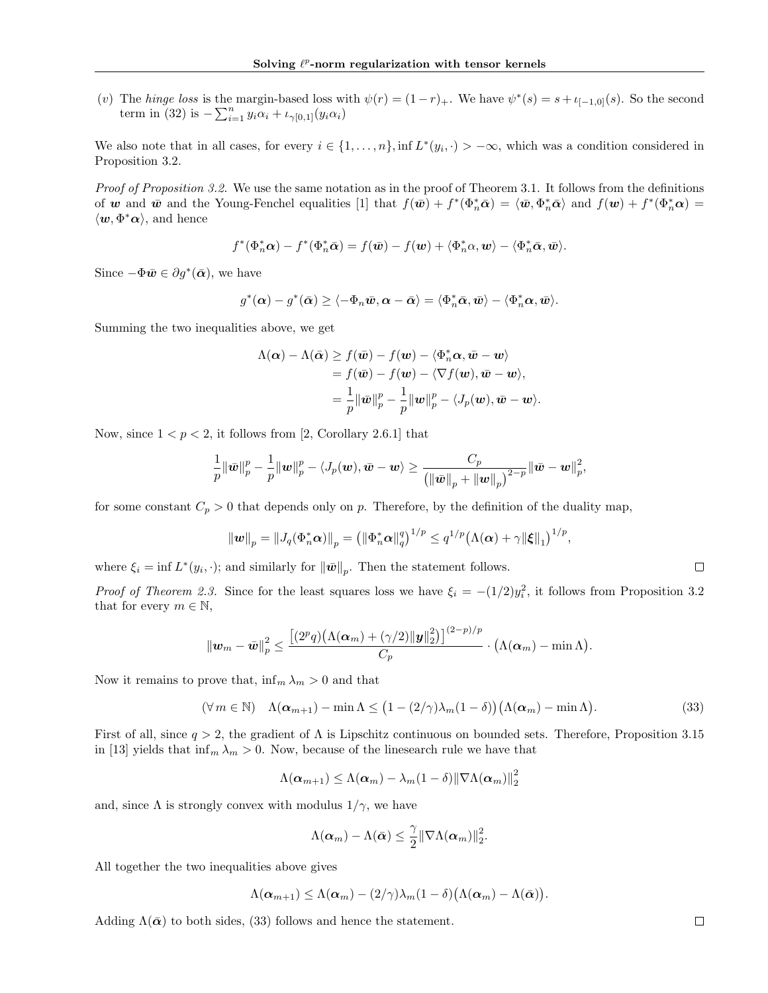(*v*) The *hinge loss* is the margin-based loss with  $\psi(r) = (1 - r)_+$ . We have  $\psi^*(s) = s + \iota_{[-1,0]}(s)$ . So the second term in (32) is  $-\sum_{i=1}^{n} y_i \alpha_i + \iota_{\gamma[0,1]}(y_i \alpha_i)$ 

We also note that in all cases, for every  $i \in \{1, \ldots, n\}$ , inf  $L^*(y_i, \cdot) > -\infty$ , which was a condition considered in Proposition 3.2.

*Proof of Proposition 3.2.* We use the same notation as in the proof of Theorem 3.1. It follows from the definitions of *w* and  $\bar{w}$  and the Young-Fenchel equalities [1] that  $f(\bar{w}) + f^*(\Phi_n^* \bar{\alpha}) = \langle \bar{w}, \Phi_n^* \bar{\alpha} \rangle$  and  $f(w) + f^*(\Phi_n^* \alpha) =$  $\langle w, \Phi^* \alpha \rangle$ , and hence

$$
f^*(\Phi_n^*\alpha) - f^*(\Phi_n^*\bar{\alpha}) = f(\bar{\boldsymbol{w}}) - f(\boldsymbol{w}) + \langle \Phi_n^*\alpha, \boldsymbol{w} \rangle - \langle \Phi_n^*\bar{\alpha}, \bar{\boldsymbol{w}} \rangle.
$$

Since  $-\Phi \bar{\mathbf{w}} \in \partial g^*(\bar{\mathbf{\alpha}})$ , we have

$$
g^*(\boldsymbol{\alpha})-g^*(\bar{\boldsymbol{\alpha}})\geq \langle -\Phi_n\bar{\boldsymbol{w}}, \boldsymbol{\alpha}-\bar{\boldsymbol{\alpha}}\rangle=\langle \Phi_n^*\bar{\boldsymbol{\alpha}}, \bar{\boldsymbol{w}}\rangle-\langle \Phi_n^*\boldsymbol{\alpha}, \bar{\boldsymbol{w}}\rangle.
$$

Summing the two inequalities above, we get

$$
\Lambda(\boldsymbol{\alpha}) - \Lambda(\bar{\boldsymbol{\alpha}}) \ge f(\bar{\boldsymbol{w}}) - f(\boldsymbol{w}) - \langle \Phi_n^* \boldsymbol{\alpha}, \bar{\boldsymbol{w}} - \boldsymbol{w} \rangle \n= f(\bar{\boldsymbol{w}}) - f(\boldsymbol{w}) - \langle \nabla f(\boldsymbol{w}), \bar{\boldsymbol{w}} - \boldsymbol{w} \rangle, \n= \frac{1}{p} \|\bar{\boldsymbol{w}}\|_p^p - \frac{1}{p} \|\boldsymbol{w}\|_p^p - \langle J_p(\boldsymbol{w}), \bar{\boldsymbol{w}} - \boldsymbol{w} \rangle.
$$

Now, since  $1 < p < 2$ , it follows from [2, Corollary 2.6.1] that

$$
\frac{1}{p}\|\bar{\boldsymbol{w}}\|_p^p-\frac{1}{p}\|\boldsymbol{w}\|_p^p-\langle J_p(\boldsymbol{w}),\bar{\boldsymbol{w}}-\boldsymbol{w}\rangle\geq \frac{C_p}{\left(\|\bar{\boldsymbol{w}}\|_p+\|\boldsymbol{w}\|_p\right)^{2-p}}\|\bar{\boldsymbol{w}}-\boldsymbol{w}\|_p^2,
$$

for some constant  $C_p > 0$  that depends only on *p*. Therefore, by the definition of the duality map,

$$
\|\mathbf{w}\|_{p} = \|J_q(\Phi_n^*\alpha)\|_{p} = \left(\|\Phi_n^*\alpha\|_{q}^q\right)^{1/p} \leq q^{1/p} \left(\Lambda(\alpha) + \gamma \|\xi\|_{1}\right)^{1/p},
$$

where  $\xi_i = \inf L^*(y_i, \cdot)$ ; and similarly for  $\|\bar{\mathbf{w}}\|_p$ . Then the statement follows.

*Proof of Theorem 2.3.* Since for the least squares loss we have  $\xi_i = -(1/2)y_i^2$ , it follows from Proposition 3.2 that for every  $m \in \mathbb{N}$ ,

$$
\left\|\bm{w}_{m}-\bar{\bm{w}}\right\|_{p}^{2} \leq \frac{\left[(2^{p}q)\big(\Lambda(\bm{\alpha}_{m})+(\gamma/2)\|\bm{y}\|_{2}^{2}\big)\right]^{(2-p)/p}}{C_{p}} \cdot \big(\Lambda(\bm{\alpha}_{m})-\min\Lambda\big).
$$

Now it remains to prove that,  $\inf_m \lambda_m > 0$  and that

$$
(\forall m \in \mathbb{N}) \quad \Lambda(\alpha_{m+1}) - \min \Lambda \le (1 - (2/\gamma)\lambda_m(1 - \delta))(\Lambda(\alpha_m) - \min \Lambda). \tag{33}
$$

First of all, since  $q > 2$ , the gradient of  $\Lambda$  is Lipschitz continuous on bounded sets. Therefore, Proposition 3.15 in [13] yields that  $\inf_m \lambda_m > 0$ . Now, because of the linesearch rule we have that

$$
\Lambda(\boldsymbol{\alpha}_{m+1}) \leq \Lambda(\boldsymbol{\alpha}_m) - \lambda_m(1-\delta) \|\nabla \Lambda(\boldsymbol{\alpha}_m)\|_2^2
$$

and, since  $\Lambda$  is strongly convex with modulus  $1/\gamma$ , we have

$$
\Lambda(\boldsymbol{\alpha}_m)-\Lambda(\bar{\boldsymbol{\alpha}})\leq \frac{\gamma}{2}\|\nabla\Lambda(\boldsymbol{\alpha}_m)\|_2^2.
$$

All together the two inequalities above gives

$$
\Lambda(\boldsymbol{\alpha}_{m+1}) \leq \Lambda(\boldsymbol{\alpha}_m) - (2/\gamma)\lambda_m(1-\delta)\big(\Lambda(\boldsymbol{\alpha}_m)-\Lambda(\bar{\boldsymbol{\alpha}})\big).
$$

Adding  $\Lambda(\bar{\alpha})$  to both sides, (33) follows and hence the statement.

 $\Box$